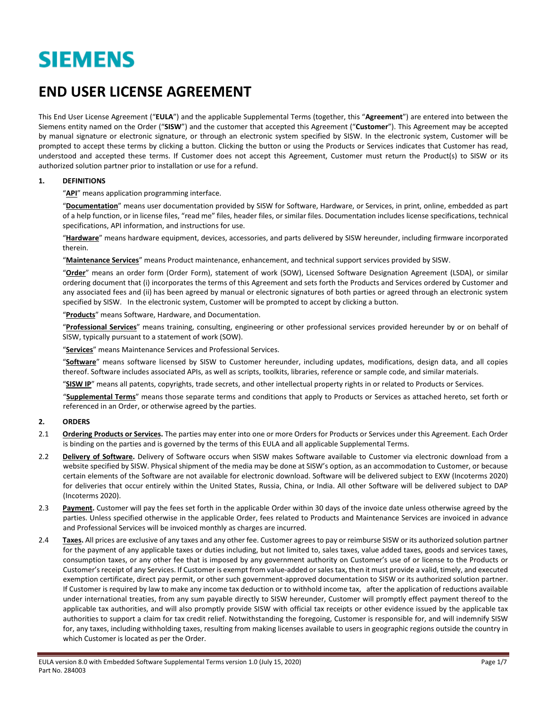# **SIEMENS**

## **END USER LICENSE AGREEMENT**

This End User License Agreement ("**EULA**") and the applicable Supplemental Terms (together, this "**Agreement**") are entered into between the Siemens entity named on the Order ("**SISW**") and the customer that accepted this Agreement ("**Customer**"). This Agreement may be accepted by manual signature or electronic signature, or through an electronic system specified by SISW. In the electronic system, Customer will be prompted to accept these terms by clicking a button. Clicking the button or using the Products or Services indicates that Customer has read, understood and accepted these terms. If Customer does not accept this Agreement, Customer must return the Product(s) to SISW or its authorized solution partner prior to installation or use for a refund.

#### **1. DEFINITIONS**

"**API**" means application programming interface.

"**Documentation**" means user documentation provided by SISW for Software, Hardware, or Services, in print, online, embedded as part of a help function, or in license files, "read me" files, header files, or similar files. Documentation includes license specifications, technical specifications, API information, and instructions for use.

"**Hardware**" means hardware equipment, devices, accessories, and parts delivered by SISW hereunder, including firmware incorporated therein.

"**Maintenance Services**" means Product maintenance, enhancement, and technical support services provided by SISW.

"**Order**" means an order form (Order Form), statement of work (SOW), Licensed Software Designation Agreement (LSDA), or similar ordering document that (i) incorporates the terms of this Agreement and sets forth the Products and Services ordered by Customer and any associated fees and (ii) has been agreed by manual or electronic signatures of both parties or agreed through an electronic system specified by SISW. In the electronic system, Customer will be prompted to accept by clicking a button.

"**Products**" means Software, Hardware, and Documentation.

"**Professional Services**" means training, consulting, engineering or other professional services provided hereunder by or on behalf of SISW, typically pursuant to a statement of work (SOW).

"**Services**" means Maintenance Services and Professional Services.

"**Software**" means software licensed by SISW to Customer hereunder, including updates, modifications, design data, and all copies thereof. Software includes associated APIs, as well as scripts, toolkits, libraries, reference or sample code, and similar materials.

"**SISW IP**" means all patents, copyrights, trade secrets, and other intellectual property rights in or related to Products or Services.

"**Supplemental Terms**" means those separate terms and conditions that apply to Products or Services as attached hereto, set forth or referenced in an Order, or otherwise agreed by the parties.

#### **2. ORDERS**

- 2.1 **Ordering Products or Services.** The parties may enter into one or more Orders for Products or Services under this Agreement. Each Order is binding on the parties and is governed by the terms of this EULA and all applicable Supplemental Terms.
- 2.2 **Delivery of Software.** Delivery of Software occurs when SISW makes Software available to Customer via electronic download from a website specified by SISW. Physical shipment of the media may be done at SISW's option, as an accommodation to Customer, or because certain elements of the Software are not available for electronic download. Software will be delivered subject to EXW (Incoterms 2020) for deliveries that occur entirely within the United States, Russia, China, or India. All other Software will be delivered subject to DAP (Incoterms 2020).
- 2.3 **Payment.** Customer will pay the fees set forth in the applicable Order within 30 days of the invoice date unless otherwise agreed by the parties. Unless specified otherwise in the applicable Order, fees related to Products and Maintenance Services are invoiced in advance and Professional Services will be invoiced monthly as charges are incurred.
- 2.4 Taxes. All prices are exclusive of any taxes and any other fee. Customer agrees to pay or reimburse SISW or its authorized solution partner for the payment of any applicable taxes or duties including, but not limited to, sales taxes, value added taxes, goods and services taxes, consumption taxes, or any other fee that is imposed by any government authority on Customer's use of or license to the Products or Customer'sreceipt of any Services. If Customer is exempt from value-added or sales tax, then it must provide a valid, timely, and executed exemption certificate, direct pay permit, or other such government-approved documentation to SISW or its authorized solution partner. If Customer is required by law to make any income tax deduction or to withhold income tax, after the application of reductions available under international treaties, from any sum payable directly to SISW hereunder, Customer will promptly effect payment thereof to the applicable tax authorities, and will also promptly provide SISW with official tax receipts or other evidence issued by the applicable tax authorities to support a claim for tax credit relief. Notwithstanding the foregoing, Customer is responsible for, and will indemnify SISW for, any taxes, including withholding taxes, resulting from making licenses available to users in geographic regions outside the country in which Customer is located as per the Order.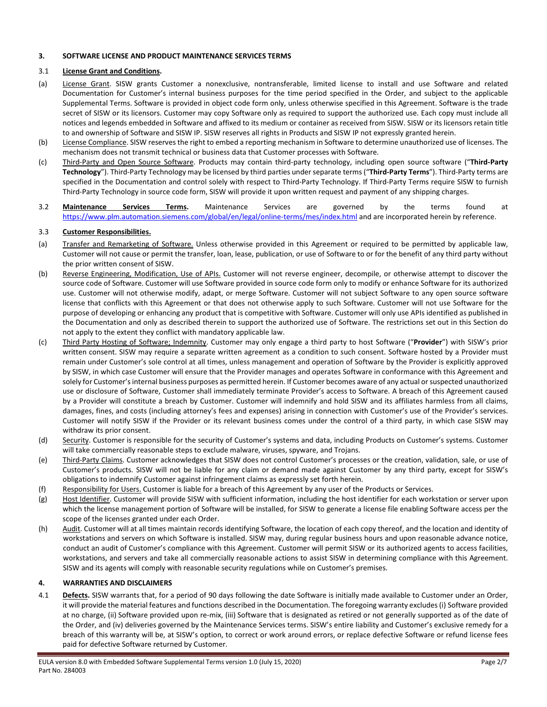#### **3. SOFTWARE LICENSE AND PRODUCT MAINTENANCE SERVICES TERMS**

#### 3.1 **License Grant and Conditions.**

- (a) License Grant. SISW grants Customer a nonexclusive, nontransferable, limited license to install and use Software and related Documentation for Customer's internal business purposes for the time period specified in the Order, and subject to the applicable Supplemental Terms. Software is provided in object code form only, unless otherwise specified in this Agreement. Software is the trade secret of SISW or its licensors. Customer may copy Software only as required to support the authorized use. Each copy must include all notices and legends embedded in Software and affixed to its medium or container as received from SISW. SISW or its licensors retain title to and ownership of Software and SISW IP. SISW reserves all rights in Products and SISW IP not expressly granted herein.
- (b) License Compliance. SISW reserves the right to embed a reporting mechanism in Software to determine unauthorized use of licenses. The mechanism does not transmit technical or business data that Customer processes with Software.
- (c) Third-Party and Open Source Software. Products may contain third-party technology, including open source software ("**Third-Party Technology**"). Third-Party Technology may be licensed by third parties under separate terms ("**Third-Party Terms**"). Third-Party terms are specified in the Documentation and control solely with respect to Third-Party Technology. If Third-Party Terms require SISW to furnish Third-Party Technology in source code form, SISW will provide it upon written request and payment of any shipping charges.
- 3.2 **Maintenance Services Terms.** Maintenance Services are governed by the terms found at <https://www.plm.automation.siemens.com/global/en/legal/online-terms/mes/index.html> and are incorporated herein by reference.

#### 3.3 **Customer Responsibilities.**

- (a) Transfer and Remarketing of Software. Unless otherwise provided in this Agreement or required to be permitted by applicable law, Customer will not cause or permit the transfer, loan, lease, publication, or use of Software to or for the benefit of any third party without the prior written consent of SISW.
- (b) Reverse Engineering, Modification, Use of APIs. Customer will not reverse engineer, decompile, or otherwise attempt to discover the source code of Software. Customer will use Software provided in source code form only to modify or enhance Software for its authorized use. Customer will not otherwise modify, adapt, or merge Software. Customer will not subject Software to any open source software license that conflicts with this Agreement or that does not otherwise apply to such Software. Customer will not use Software for the purpose of developing or enhancing any product that is competitive with Software. Customer will only use APIs identified as published in the Documentation and only as described therein to support the authorized use of Software. The restrictions set out in this Section do not apply to the extent they conflict with mandatory applicable law.
- (c) Third Party Hosting of Software; Indemnity. Customer may only engage a third party to host Software ("**Provider**") with SISW's prior written consent. SISW may require a separate written agreement as a condition to such consent. Software hosted by a Provider must remain under Customer's sole control at all times, unless management and operation of Software by the Provider is explicitly approved by SISW, in which case Customer will ensure that the Provider manages and operates Software in conformance with this Agreement and solely for Customer'sinternal business purposes as permitted herein. If Customer becomes aware of any actual or suspected unauthorized use or disclosure of Software, Customer shall immediately terminate Provider's access to Software. A breach of this Agreement caused by a Provider will constitute a breach by Customer. Customer will indemnify and hold SISW and its affiliates harmless from all claims, damages, fines, and costs (including attorney's fees and expenses) arising in connection with Customer's use of the Provider's services. Customer will notify SISW if the Provider or its relevant business comes under the control of a third party, in which case SISW may withdraw its prior consent.
- (d) Security. Customer is responsible for the security of Customer's systems and data, including Products on Customer's systems. Customer will take commercially reasonable steps to exclude malware, viruses, spyware, and Trojans.
- (e) Third-Party Claims. Customer acknowledges that SISW does not control Customer's processes or the creation, validation, sale, or use of Customer's products. SISW will not be liable for any claim or demand made against Customer by any third party, except for SISW's obligations to indemnify Customer against infringement claims as expressly set forth herein.
- (f) Responsibility for Users. Customer is liable for a breach of this Agreement by any user of the Products or Services.
- (g) Host Identifier. Customer will provide SISW with sufficient information, including the host identifier for each workstation or server upon which the license management portion of Software will be installed, for SISW to generate a license file enabling Software access per the scope of the licenses granted under each Order.
- (h) Audit. Customer will at all times maintain records identifying Software, the location of each copy thereof, and the location and identity of workstations and servers on which Software is installed. SISW may, during regular business hours and upon reasonable advance notice, conduct an audit of Customer's compliance with this Agreement. Customer will permit SISW or its authorized agents to access facilities, workstations, and servers and take all commercially reasonable actions to assist SISW in determining compliance with this Agreement. SISW and its agents will comply with reasonable security regulations while on Customer's premises.

#### **4. WARRANTIES AND DISCLAIMERS**

4.1 **Defects.** SISW warrants that, for a period of 90 days following the date Software is initially made available to Customer under an Order, it will provide the material features and functions described in the Documentation. The foregoing warranty excludes (i) Software provided at no charge, (ii) Software provided upon re-mix, (iii) Software that is designated as retired or not generally supported as of the date of the Order, and (iv) deliveries governed by the Maintenance Services terms. SISW's entire liability and Customer's exclusive remedy for a breach of this warranty will be, at SISW's option, to correct or work around errors, or replace defective Software or refund license fees paid for defective Software returned by Customer.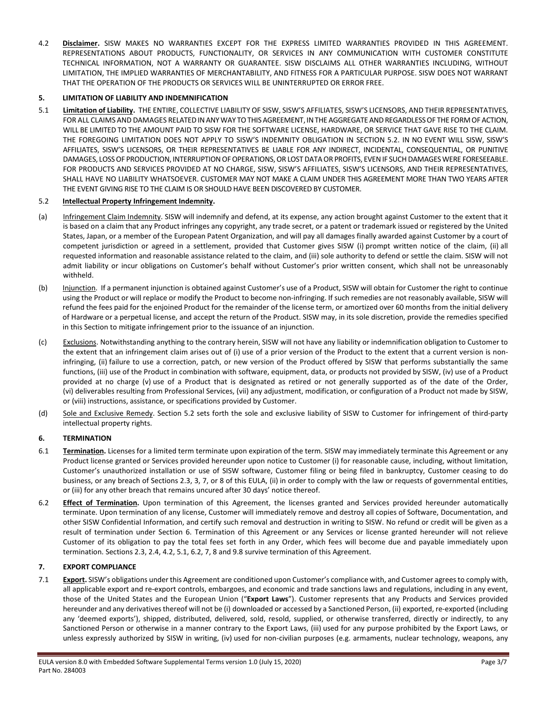4.2 **Disclaimer.** SISW MAKES NO WARRANTIES EXCEPT FOR THE EXPRESS LIMITED WARRANTIES PROVIDED IN THIS AGREEMENT. REPRESENTATIONS ABOUT PRODUCTS, FUNCTIONALITY, OR SERVICES IN ANY COMMUNICATION WITH CUSTOMER CONSTITUTE TECHNICAL INFORMATION, NOT A WARRANTY OR GUARANTEE. SISW DISCLAIMS ALL OTHER WARRANTIES INCLUDING, WITHOUT LIMITATION, THE IMPLIED WARRANTIES OF MERCHANTABILITY, AND FITNESS FOR A PARTICULAR PURPOSE. SISW DOES NOT WARRANT THAT THE OPERATION OF THE PRODUCTS OR SERVICES WILL BE UNINTERRUPTED OR ERROR FREE.

#### **5. LIMITATION OF LIABILITY AND INDEMNIFICATION**

5.1 **Limitation of Liability.** THE ENTIRE, COLLECTIVE LIABILITY OF SISW, SISW'S AFFILIATES, SISW'S LICENSORS, AND THEIR REPRESENTATIVES, FOR ALL CLAIMS AND DAMAGES RELATED IN ANY WAY TO THIS AGREEMENT, IN THE AGGREGATE AND REGARDLESS OF THE FORM OF ACTION, WILL BE LIMITED TO THE AMOUNT PAID TO SISW FOR THE SOFTWARE LICENSE, HARDWARE, OR SERVICE THAT GAVE RISE TO THE CLAIM. THE FOREGOING LIMITATION DOES NOT APPLY TO SISW'S INDEMNITY OBLIGATION IN SECTION 5.2. IN NO EVENT WILL SISW, SISW'S AFFILIATES, SISW'S LICENSORS, OR THEIR REPRESENTATIVES BE LIABLE FOR ANY INDIRECT, INCIDENTAL, CONSEQUENTIAL, OR PUNITIVE DAMAGES, LOSS OF PRODUCTION, INTERRUPTION OF OPERATIONS, OR LOST DATA OR PROFITS, EVEN IF SUCH DAMAGES WERE FORESEEABLE. FOR PRODUCTS AND SERVICES PROVIDED AT NO CHARGE, SISW, SISW'S AFFILIATES, SISW'S LICENSORS, AND THEIR REPRESENTATIVES, SHALL HAVE NO LIABILITY WHATSOEVER. CUSTOMER MAY NOT MAKE A CLAIM UNDER THIS AGREEMENT MORE THAN TWO YEARS AFTER THE EVENT GIVING RISE TO THE CLAIM IS OR SHOULD HAVE BEEN DISCOVERED BY CUSTOMER.

#### 5.2 **Intellectual Property Infringement Indemnity.**

- (a) Infringement Claim Indemnity. SISW will indemnify and defend, at its expense, any action brought against Customer to the extent that it is based on a claim that any Product infringes any copyright, any trade secret, or a patent or trademark issued or registered by the United States, Japan, or a member of the European Patent Organization, and will pay all damages finally awarded against Customer by a court of competent jurisdiction or agreed in a settlement, provided that Customer gives SISW (i) prompt written notice of the claim, (ii) all requested information and reasonable assistance related to the claim, and (iii) sole authority to defend or settle the claim. SISW will not admit liability or incur obligations on Customer's behalf without Customer's prior written consent, which shall not be unreasonably withheld.
- (b) Injunction. If a permanent injunction is obtained against Customer's use of a Product, SISW will obtain for Customer the right to continue using the Product or will replace or modify the Product to become non-infringing. If such remedies are not reasonably available, SISW will refund the fees paid for the enjoined Product for the remainder of the license term, or amortized over 60 months from the initial delivery of Hardware or a perpetual license, and accept the return of the Product. SISW may, in its sole discretion, provide the remedies specified in this Section to mitigate infringement prior to the issuance of an injunction.
- (c) Exclusions. Notwithstanding anything to the contrary herein, SISW will not have any liability or indemnification obligation to Customer to the extent that an infringement claim arises out of (i) use of a prior version of the Product to the extent that a current version is noninfringing, (ii) failure to use a correction, patch, or new version of the Product offered by SISW that performs substantially the same functions, (iii) use of the Product in combination with software, equipment, data, or products not provided by SISW, (iv) use of a Product provided at no charge (v) use of a Product that is designated as retired or not generally supported as of the date of the Order, (vi) deliverables resulting from Professional Services, (vii) any adjustment, modification, or configuration of a Product not made by SISW, or (viii) instructions, assistance, or specifications provided by Customer.
- (d) Sole and Exclusive Remedy. Section 5.2 sets forth the sole and exclusive liability of SISW to Customer for infringement of third-party intellectual property rights.

#### **6. TERMINATION**

- 6.1 **Termination**. Licenses for a limited term terminate upon expiration of the term. SISW may immediately terminate this Agreement or any Product license granted or Services provided hereunder upon notice to Customer (i) for reasonable cause, including, without limitation, Customer's unauthorized installation or use of SISW software, Customer filing or being filed in bankruptcy, Customer ceasing to do business, or any breach of Sections 2.3, 3, 7, or 8 of this EULA, (ii) in order to comply with the law or requests of governmental entities, or (iii) for any other breach that remains uncured after 30 days' notice thereof.
- 6.2 **Effect of Termination.** Upon termination of this Agreement, the licenses granted and Services provided hereunder automatically terminate. Upon termination of any license, Customer will immediately remove and destroy all copies of Software, Documentation, and other SISW Confidential Information, and certify such removal and destruction in writing to SISW. No refund or credit will be given as a result of termination under Section 6. Termination of this Agreement or any Services or license granted hereunder will not relieve Customer of its obligation to pay the total fees set forth in any Order, which fees will become due and payable immediately upon termination. Sections 2.3, 2.4, 4.2, 5.1, 6.2, 7, 8 and 9.8 survive termination of this Agreement.

#### **7. EXPORT COMPLIANCE**

7.1 **Export.** SISW's obligations under this Agreement are conditioned upon Customer's compliance with, and Customer agrees to comply with, all applicable export and re-export controls, embargoes, and economic and trade sanctions laws and regulations, including in any event, those of the United States and the European Union ("**Export Laws**"). Customer represents that any Products and Services provided hereunder and any derivatives thereof will not be (i) downloaded or accessed by a Sanctioned Person, (ii) exported, re-exported (including any 'deemed exports'), shipped, distributed, delivered, sold, resold, supplied, or otherwise transferred, directly or indirectly, to any Sanctioned Person or otherwise in a manner contrary to the Export Laws, (iii) used for any purpose prohibited by the Export Laws, or unless expressly authorized by SISW in writing, (iv) used for non-civilian purposes (e.g. armaments, nuclear technology, weapons, any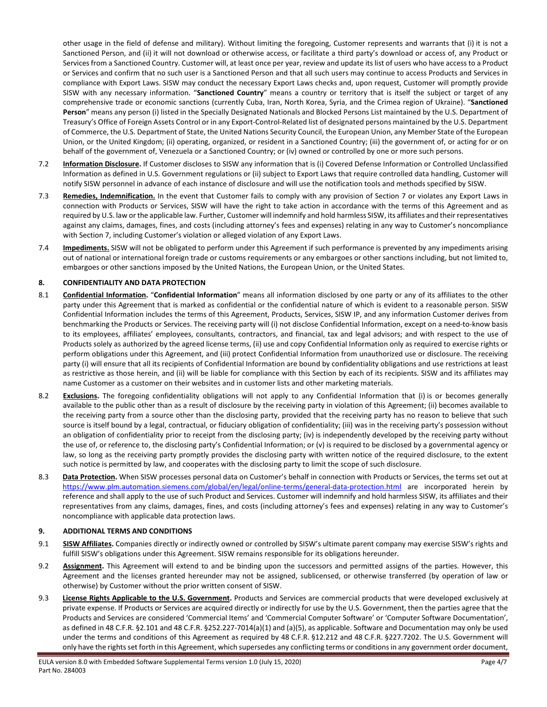other usage in the field of defense and military). Without limiting the foregoing, Customer represents and warrants that (i) it is not a Sanctioned Person, and (ii) it will not download or otherwise access, or facilitate a third party's download or access of, any Product or Services from a Sanctioned Country. Customer will, at least once per year, review and update its list of users who have access to a Product or Services and confirm that no such user is a Sanctioned Person and that all such users may continue to access Products and Services in compliance with Export Laws. SISW may conduct the necessary Export Laws checks and, upon request, Customer will promptly provide SISW with any necessary information. "**Sanctioned Country**" means a country or territory that is itself the subject or target of any comprehensive trade or economic sanctions (currently Cuba, Iran, North Korea, Syria, and the Crimea region of Ukraine). "**Sanctioned Person**" means any person (i) listed in the Specially Designated Nationals and Blocked Persons List maintained by the U.S. Department of Treasury's Office of Foreign Assets Control or in any Export-Control-Related list of designated persons maintained by the U.S. Department of Commerce, the U.S. Department of State, the United Nations Security Council, the European Union, any Member State of the European Union, or the United Kingdom; (ii) operating, organized, or resident in a Sanctioned Country; (iii) the government of, or acting for or on behalf of the government of, Venezuela or a Sanctioned Country; or (iv) owned or controlled by one or more such persons.

- 7.2 **Information Disclosure.** If Customer discloses to SISW any information that is (i) Covered Defense Information or Controlled Unclassified Information as defined in U.S. Government regulations or (ii) subject to Export Laws that require controlled data handling, Customer will notify SISW personnel in advance of each instance of disclosure and will use the notification tools and methods specified by SISW.
- 7.3 **Remedies, Indemnification.** In the event that Customer fails to comply with any provision of Section 7 or violates any Export Laws in connection with Products or Services, SISW will have the right to take action in accordance with the terms of this Agreement and as required by U.S. law or the applicable law. Further, Customer will indemnify and hold harmless SISW, its affiliates and theirrepresentatives against any claims, damages, fines, and costs (including attorney's fees and expenses) relating in any way to Customer's noncompliance with Section 7, including Customer's violation or alleged violation of any Export Laws.
- 7.4 **Impediments.** SISW will not be obligated to perform under this Agreement if such performance is prevented by any impediments arising out of national or international foreign trade or customs requirements or any embargoes or other sanctions including, but not limited to, embargoes or other sanctions imposed by the United Nations, the European Union, or the United States.

#### **8. CONFIDENTIALITY AND DATA PROTECTION**

- 8.1 **Confidential Information.** "**Confidential Information**" means all information disclosed by one party or any of its affiliates to the other party under this Agreement that is marked as confidential or the confidential nature of which is evident to a reasonable person. SISW Confidential Information includes the terms of this Agreement, Products, Services, SISW IP, and any information Customer derives from benchmarking the Products or Services. The receiving party will (i) not disclose Confidential Information, except on a need-to-know basis to its employees, affiliates' employees, consultants, contractors, and financial, tax and legal advisors; and with respect to the use of Products solely as authorized by the agreed license terms, (ii) use and copy Confidential Information only as required to exercise rights or perform obligations under this Agreement, and (iii) protect Confidential Information from unauthorized use or disclosure. The receiving party (i) will ensure that all its recipients of Confidential Information are bound by confidentiality obligations and use restrictions at least as restrictive as those herein, and (ii) will be liable for compliance with this Section by each of its recipients. SISW and its affiliates may name Customer as a customer on their websites and in customer lists and other marketing materials.
- 8.2 **Exclusions.** The foregoing confidentiality obligations will not apply to any Confidential Information that (i) is or becomes generally available to the public other than as a result of disclosure by the receiving party in violation of this Agreement; (ii) becomes available to the receiving party from a source other than the disclosing party, provided that the receiving party has no reason to believe that such source is itself bound by a legal, contractual, or fiduciary obligation of confidentiality; (iii) was in the receiving party's possession without an obligation of confidentiality prior to receipt from the disclosing party; (iv) is independently developed by the receiving party without the use of, or reference to, the disclosing party's Confidential Information; or (v) is required to be disclosed by a governmental agency or law, so long as the receiving party promptly provides the disclosing party with written notice of the required disclosure, to the extent such notice is permitted by law, and cooperates with the disclosing party to limit the scope of such disclosure.
- 8.3 **Data Protection.** When SISW processes personal data on Customer's behalf in connection with Products or Services, the terms set out at <https://www.plm.automation.siemens.com/global/en/legal/online-terms/general-data-protection.html> are incorporated herein by reference and shall apply to the use of such Product and Services. Customer will indemnify and hold harmless SISW, its affiliates and their representatives from any claims, damages, fines, and costs (including attorney's fees and expenses) relating in any way to Customer's noncompliance with applicable data protection laws.

#### **9. ADDITIONAL TERMS AND CONDITIONS**

- 9.1 **SISW Affiliates.** Companies directly or indirectly owned or controlled by SISW's ultimate parent company may exercise SISW's rights and fulfill SISW's obligations under this Agreement. SISW remains responsible for its obligations hereunder.
- 9.2 **Assignment.** This Agreement will extend to and be binding upon the successors and permitted assigns of the parties. However, this Agreement and the licenses granted hereunder may not be assigned, sublicensed, or otherwise transferred (by operation of law or otherwise) by Customer without the prior written consent of SISW.
- 9.3 **License Rights Applicable to the U.S. Government.** Products and Services are commercial products that were developed exclusively at private expense. If Products or Services are acquired directly or indirectly for use by the U.S. Government, then the parties agree that the Products and Services are considered 'Commercial Items' and 'Commercial Computer Software' or 'Computer Software Documentation', as defined in 48 C.F.R. §2.101 and 48 C.F.R. §252.227-7014(a)(1) and (a)(5), as applicable. Software and Documentation may only be used under the terms and conditions of this Agreement as required by 48 C.F.R. §12.212 and 48 C.F.R. §227.7202. The U.S. Government will only have the rights set forth in this Agreement, which supersedes any conflicting terms or conditions in any government order document,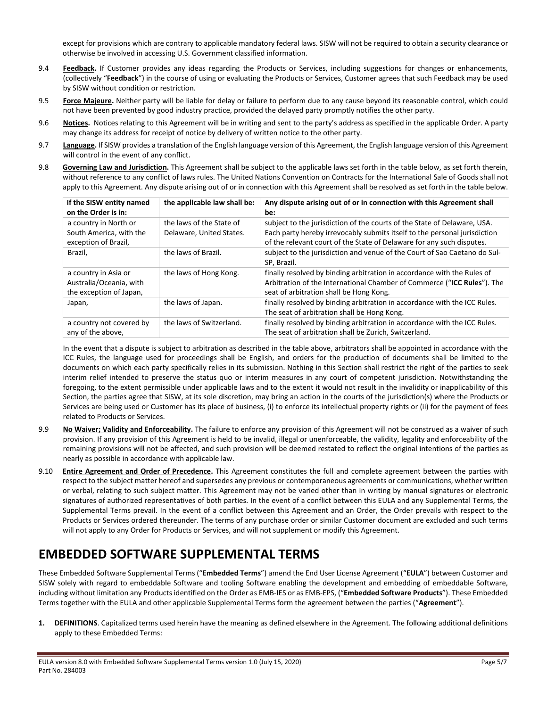except for provisions which are contrary to applicable mandatory federal laws. SISW will not be required to obtain a security clearance or otherwise be involved in accessing U.S. Government classified information.

- 9.4 **Feedback.** If Customer provides any ideas regarding the Products or Services, including suggestions for changes or enhancements, (collectively "**Feedback**") in the course of using or evaluating the Products or Services, Customer agrees that such Feedback may be used by SISW without condition or restriction.
- 9.5 **Force Majeure.** Neither party will be liable for delay or failure to perform due to any cause beyond its reasonable control, which could not have been prevented by good industry practice, provided the delayed party promptly notifies the other party.
- 9.6 **Notices**. Notices relating to this Agreement will be in writing and sent to the party's address as specified in the applicable Order. A party may change its address for receipt of notice by delivery of written notice to the other party.
- 9.7 **Language.** If SISW provides a translation of the English language version of this Agreement, the English language version of this Agreement will control in the event of any conflict.
- 9.8 **Governing Law and Jurisdiction.** This Agreement shall be subject to the applicable laws set forth in the table below, as set forth therein, without reference to any conflict of laws rules. The United Nations Convention on Contracts for the International Sale of Goods shall not apply to this Agreement. Any dispute arising out of or in connection with this Agreement shall be resolved as set forth in the table below.

| If the SISW entity named<br>on the Order is in:                            | the applicable law shall be:                         | Any dispute arising out of or in connection with this Agreement shall<br>be:                                                                                                                                                   |
|----------------------------------------------------------------------------|------------------------------------------------------|--------------------------------------------------------------------------------------------------------------------------------------------------------------------------------------------------------------------------------|
| a country in North or<br>South America, with the<br>exception of Brazil,   | the laws of the State of<br>Delaware, United States. | subject to the jurisdiction of the courts of the State of Delaware, USA.<br>Each party hereby irrevocably submits itself to the personal jurisdiction<br>of the relevant court of the State of Delaware for any such disputes. |
| Brazil,                                                                    | the laws of Brazil.                                  | subject to the jurisdiction and venue of the Court of Sao Caetano do Sul-<br>SP. Brazil.                                                                                                                                       |
| a country in Asia or<br>Australia/Oceania, with<br>the exception of Japan, | the laws of Hong Kong.                               | finally resolved by binding arbitration in accordance with the Rules of<br>Arbitration of the International Chamber of Commerce ("ICC Rules"). The<br>seat of arbitration shall be Hong Kong.                                  |
| Japan,                                                                     | the laws of Japan.                                   | finally resolved by binding arbitration in accordance with the ICC Rules.<br>The seat of arbitration shall be Hong Kong.                                                                                                       |
| a country not covered by<br>any of the above,                              | the laws of Switzerland.                             | finally resolved by binding arbitration in accordance with the ICC Rules.<br>The seat of arbitration shall be Zurich, Switzerland.                                                                                             |

In the event that a dispute is subject to arbitration as described in the table above, arbitrators shall be appointed in accordance with the ICC Rules, the language used for proceedings shall be English, and orders for the production of documents shall be limited to the documents on which each party specifically relies in its submission. Nothing in this Section shall restrict the right of the parties to seek interim relief intended to preserve the status quo or interim measures in any court of competent jurisdiction. Notwithstanding the foregoing, to the extent permissible under applicable laws and to the extent it would not result in the invalidity or inapplicability of this Section, the parties agree that SISW, at its sole discretion, may bring an action in the courts of the jurisdiction(s) where the Products or Services are being used or Customer has its place of business, (i) to enforce its intellectual property rights or (ii) for the payment of fees related to Products or Services.

- 9.9 **No Waiver; Validity and Enforceability.** The failure to enforce any provision of this Agreement will not be construed as a waiver of such provision. If any provision of this Agreement is held to be invalid, illegal or unenforceable, the validity, legality and enforceability of the remaining provisions will not be affected, and such provision will be deemed restated to reflect the original intentions of the parties as nearly as possible in accordance with applicable law.
- 9.10 **Entire Agreement and Order of Precedence.** This Agreement constitutes the full and complete agreement between the parties with respect to the subject matter hereof and supersedes any previous or contemporaneous agreements or communications, whether written or verbal, relating to such subject matter. This Agreement may not be varied other than in writing by manual signatures or electronic signatures of authorized representatives of both parties. In the event of a conflict between this EULA and any Supplemental Terms, the Supplemental Terms prevail. In the event of a conflict between this Agreement and an Order, the Order prevails with respect to the Products or Services ordered thereunder. The terms of any purchase order or similar Customer document are excluded and such terms will not apply to any Order for Products or Services, and will not supplement or modify this Agreement.

### **EMBEDDED SOFTWARE SUPPLEMENTAL TERMS**

These Embedded Software Supplemental Terms ("**Embedded Terms**") amend the End User License Agreement ("**EULA**") between Customer and SISW solely with regard to embeddable Software and tooling Software enabling the development and embedding of embeddable Software, including without limitation any Products identified on the Order as EMB-IES or as EMB-EPS, ("**Embedded Software Products**"). These Embedded Terms together with the EULA and other applicable Supplemental Terms form the agreement between the parties ("**Agreement**").

**1. DEFINITIONS**. Capitalized terms used herein have the meaning as defined elsewhere in the Agreement. The following additional definitions apply to these Embedded Terms: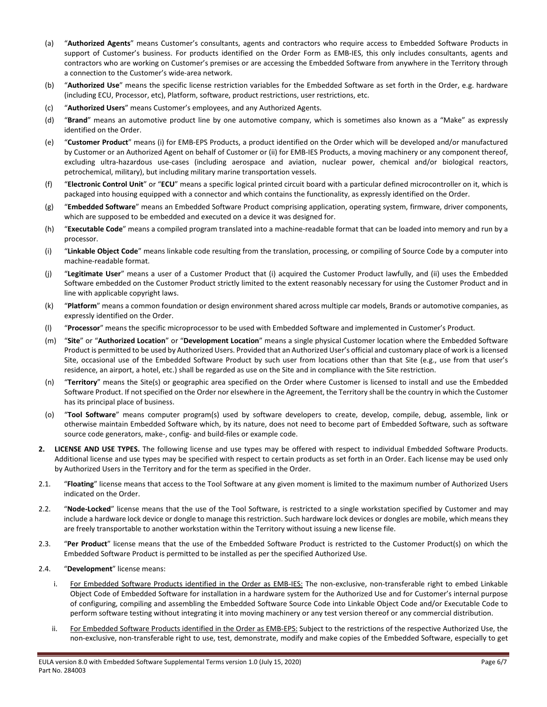- (a) "**Authorized Agents**" means Customer's consultants, agents and contractors who require access to Embedded Software Products in support of Customer's business. For products identified on the Order Form as EMB-IES, this only includes consultants, agents and contractors who are working on Customer's premises or are accessing the Embedded Software from anywhere in the Territory through a connection to the Customer's wide-area network.
- (b) "**Authorized Use**" means the specific license restriction variables for the Embedded Software as set forth in the Order, e.g. hardware (including ECU, Processor, etc), Platform, software, product restrictions, user restrictions, etc.
- (c) "**Authorized Users**" means Customer's employees, and any Authorized Agents.
- (d) "**Brand**" means an automotive product line by one automotive company, which is sometimes also known as a "Make" as expressly identified on the Order.
- (e) "**Customer Product**" means (i) for EMB-EPS Products, a product identified on the Order which will be developed and/or manufactured by Customer or an Authorized Agent on behalf of Customer or (ii) for EMB-IES Products, a moving machinery or any component thereof, excluding ultra-hazardous use-cases (including aerospace and aviation, nuclear power, chemical and/or biological reactors, petrochemical, military), but including military marine transportation vessels.
- (f) "**Electronic Control Unit**" or "**ECU**" means a specific logical printed circuit board with a particular defined microcontroller on it, which is packaged into housing equipped with a connector and which contains the functionality, as expressly identified on the Order.
- (g) "**Embedded Software**" means an Embedded Software Product comprising application, operating system, firmware, driver components, which are supposed to be embedded and executed on a device it was designed for.
- (h) "**Executable Code**" means a compiled program translated into a machine-readable format that can be loaded into memory and run by a processor.
- (i) "**Linkable Object Code**" means linkable code resulting from the translation, processing, or compiling of Source Code by a computer into machine-readable format.
- (j) "**Legitimate User**" means a user of a Customer Product that (i) acquired the Customer Product lawfully, and (ii) uses the Embedded Software embedded on the Customer Product strictly limited to the extent reasonably necessary for using the Customer Product and in line with applicable copyright laws.
- (k) "**Platform**" means a common foundation or design environment shared across multiple car models, Brands or automotive companies, as expressly identified on the Order.
- (l) "**Processor**" means the specific microprocessor to be used with Embedded Software and implemented in Customer's Product.
- (m) "**Site**" or "**Authorized Location**" or "**Development Location**" means a single physical Customer location where the Embedded Software Product is permitted to be used by Authorized Users. Provided that an Authorized User's official and customary place of work is a licensed Site, occasional use of the Embedded Software Product by such user from locations other than that Site (e.g., use from that user's residence, an airport, a hotel, etc.) shall be regarded as use on the Site and in compliance with the Site restriction.
- (n) "**Territory**" means the Site(s) or geographic area specified on the Order where Customer is licensed to install and use the Embedded Software Product. If not specified on the Order nor elsewhere in the Agreement, the Territory shall be the country in which the Customer has its principal place of business.
- (o) "**Tool Software**" means computer program(s) used by software developers to create, develop, compile, debug, assemble, link or otherwise maintain Embedded Software which, by its nature, does not need to become part of Embedded Software, such as software source code generators, make-, config- and build-files or example code.
- **2. LICENSE AND USE TYPES.** The following license and use types may be offered with respect to individual Embedded Software Products. Additional license and use types may be specified with respect to certain products as set forth in an Order. Each license may be used only by Authorized Users in the Territory and for the term as specified in the Order.
- 2.1. "Floating" license means that access to the Tool Software at any given moment is limited to the maximum number of Authorized Users indicated on the Order.
- 2.2. "**Node-Locked**" license means that the use of the Tool Software, is restricted to a single workstation specified by Customer and may include a hardware lock device or dongle to manage this restriction. Such hardware lock devices or dongles are mobile, which means they are freely transportable to another workstation within the Territory without issuing a new license file.
- 2.3. "**Per Product**" license means that the use of the Embedded Software Product is restricted to the Customer Product(s) on which the Embedded Software Product is permitted to be installed as per the specified Authorized Use.
- <span id="page-5-1"></span><span id="page-5-0"></span>2.4. "**Development**" license means:
	- i. For Embedded Software Products identified in the Order as EMB-IES: The non-exclusive, non-transferable right to embed Linkable Object Code of Embedded Software for installation in a hardware system for the Authorized Use and for Customer's internal purpose of configuring, compiling and assembling the Embedded Software Source Code into Linkable Object Code and/or Executable Code to perform software testing without integrating it into moving machinery or any test version thereof or any commercial distribution.
	- ii. For Embedded Software Products identified in the Order as EMB-EPS: Subject to the restrictions of the respective Authorized Use, the non-exclusive, non-transferable right to use, test, demonstrate, modify and make copies of the Embedded Software, especially to get